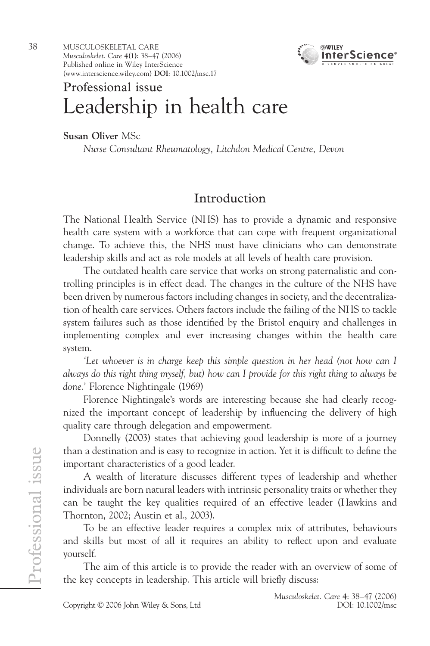



# Professional issue Leadership in health care

**Susan Oliver** MSc

38

*Nurse Consultant Rheumatology, Litchdon Medical Centre, Devon*

# Introduction

The National Health Service (NHS) has to provide a dynamic and responsive health care system with a workforce that can cope with frequent organizational change. To achieve this, the NHS must have clinicians who can demonstrate leadership skills and act as role models at all levels of health care provision.

The outdated health care service that works on strong paternalistic and controlling principles is in effect dead. The changes in the culture of the NHS have been driven by numerous factors including changes in society, and the decentralization of health care services. Others factors include the failing of the NHS to tackle system failures such as those identified by the Bristol enquiry and challenges in implementing complex and ever increasing changes within the health care system.

*Let whoever is in charge keep this simple question in her head (not how can I always do this right thing myself, but) how can I provide for this right thing to always be done.'* Florence Nightingale (1969)

Florence Nightingale's words are interesting because she had clearly recognized the important concept of leadership by influencing the delivery of high quality care through delegation and empowerment.

Donnelly (2003) states that achieving good leadership is more of a journey than a destination and is easy to recognize in action. Yet it is difficult to define the important characteristics of a good leader.

A wealth of literature discusses different types of leadership and whether individuals are born natural leaders with intrinsic personality traits or whether they can be taught the key qualities required of an effective leader (Hawkins and Thornton, 2002; Austin et al., 2003).

To be an effective leader requires a complex mix of attributes, behaviours and skills but most of all it requires an ability to reflect upon and evaluate yourself.

The aim of this article is to provide the reader with an overview of some of the key concepts in leadership. This article will briefly discuss: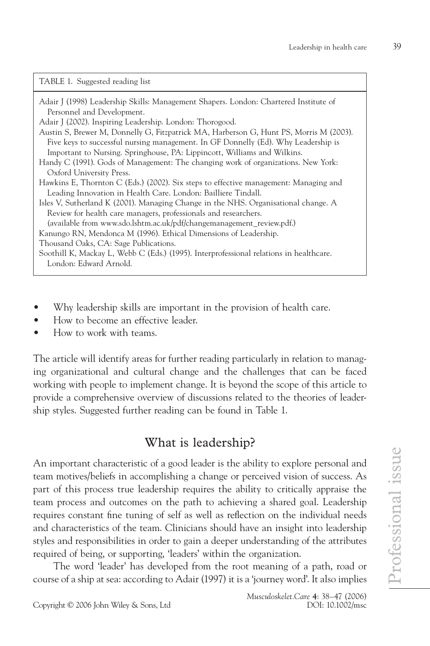TABLE 1. Suggested reading list

Adair J (1998) Leadership Skills: Management Shapers. London: Chartered Institute of Personnel and Development. Adair J (2002). Inspiring Leadership. London: Thorogood. Austin S, Brewer M, Donnelly G, Fitzpatrick MA, Harberson G, Hunt PS, Morris M (2003). Five keys to successful nursing management. In GF Donnelly (Ed). Why Leadership is Important to Nursing. Springhouse, PA: Lippincott, Williams and Wilkins. Handy C (1991). Gods of Management: The changing work of organizations. New York: Oxford University Press. Hawkins E, Thornton C (Eds.) (2002). Six steps to effective management: Managing and Leading Innovation in Health Care. London: Bailliere Tindall. Isles V, Sutherland K (2001). Managing Change in the NHS. Organisational change. A Review for health care managers, professionals and researchers. (available from www.sdo.lshtm.ac.uk/pdf/changemanagement\_review.pdf.) Kanungo RN, Mendonca M (1996). Ethical Dimensions of Leadership. Thousand Oaks, CA: Sage Publications. Soothill K, Mackay L, Webb C (Eds.) (1995). Interprofessional relations in healthcare. London: Edward Arnold.

- Why leadership skills are important in the provision of health care.
- How to become an effective leader.
- How to work with teams.

The article will identify areas for further reading particularly in relation to managing organizational and cultural change and the challenges that can be faced working with people to implement change. It is beyond the scope of this article to provide a comprehensive overview of discussions related to the theories of leadership styles. Suggested further reading can be found in Table 1.

### What is leadership?

An important characteristic of a good leader is the ability to explore personal and team motives/beliefs in accomplishing a change or perceived vision of success. As part of this process true leadership requires the ability to critically appraise the team process and outcomes on the path to achieving a shared goal. Leadership requires constant fine tuning of self as well as reflection on the individual needs and characteristics of the team. Clinicians should have an insight into leadership styles and responsibilities in order to gain a deeper understanding of the attributes required of being, or supporting, 'leaders' within the organization.

The word 'leader' has developed from the root meaning of a path, road or course of a ship at sea: according to Adair (1997) it is a 'journey word'. It also implies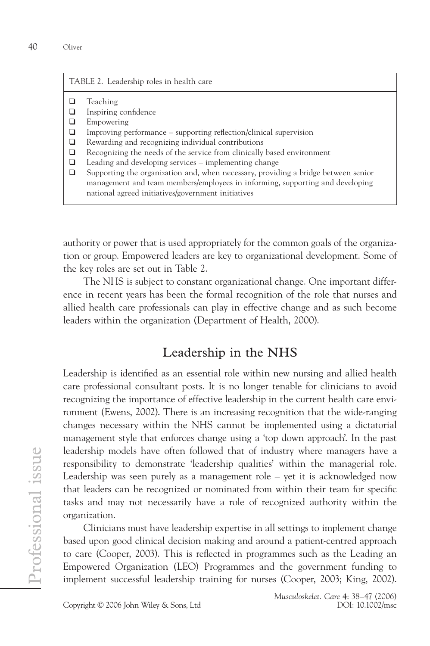| TABLE 2. Leadership roles in health care |                                                                                                                                                                                                                                                                                                                                                                                                                                                                                                                                            |  |
|------------------------------------------|--------------------------------------------------------------------------------------------------------------------------------------------------------------------------------------------------------------------------------------------------------------------------------------------------------------------------------------------------------------------------------------------------------------------------------------------------------------------------------------------------------------------------------------------|--|
| ⊔<br>□<br>□<br>⊔                         | Teaching<br>Inspiring confidence<br>Empowering<br>Improving performance – supporting reflection/clinical supervision<br>Rewarding and recognizing individual contributions<br>Recognizing the needs of the service from clinically based environment<br>Leading and developing services – implementing change<br>Supporting the organization and, when necessary, providing a bridge between senior<br>management and team members/employees in informing, supporting and developing<br>national agreed initiatives/government initiatives |  |

authority or power that is used appropriately for the common goals of the organization or group. Empowered leaders are key to organizational development. Some of the key roles are set out in Table 2.

The NHS is subject to constant organizational change. One important difference in recent years has been the formal recognition of the role that nurses and allied health care professionals can play in effective change and as such become leaders within the organization (Department of Health, 2000).

### Leadership in the NHS

Leadership is identified as an essential role within new nursing and allied health care professional consultant posts. It is no longer tenable for clinicians to avoid recognizing the importance of effective leadership in the current health care environment (Ewens, 2002). There is an increasing recognition that the wide-ranging changes necessary within the NHS cannot be implemented using a dictatorial management style that enforces change using a 'top down approach'. In the past leadership models have often followed that of industry where managers have a responsibility to demonstrate 'leadership qualities' within the managerial role. Leadership was seen purely as a management role – yet it is acknowledged now that leaders can be recognized or nominated from within their team for specific tasks and may not necessarily have a role of recognized authority within the organization.

Clinicians must have leadership expertise in all settings to implement change based upon good clinical decision making and around a patient-centred approach to care (Cooper, 2003). This is reflected in programmes such as the Leading an Empowered Organization (LEO) Programmes and the government funding to implement successful leadership training for nurses (Cooper, 2003; King, 2002).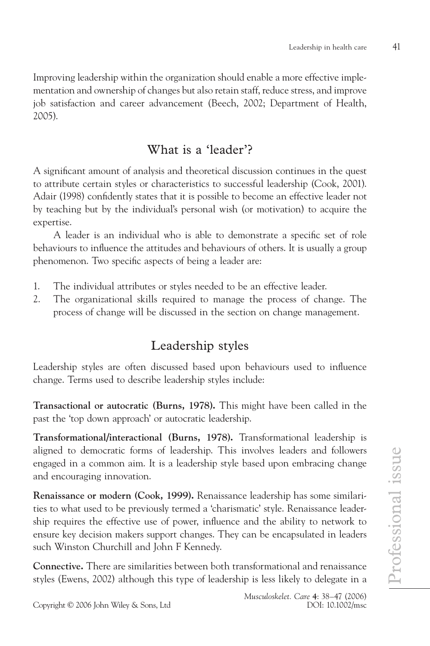Improving leadership within the organization should enable a more effective implementation and ownership of changes but also retain staff, reduce stress, and improve job satisfaction and career advancement (Beech, 2002; Department of Health, 2005).

# What is a 'leader'?

A significant amount of analysis and theoretical discussion continues in the quest to attribute certain styles or characteristics to successful leadership (Cook, 2001). Adair (1998) confidently states that it is possible to become an effective leader not by teaching but by the individual's personal wish (or motivation) to acquire the expertise.

A leader is an individual who is able to demonstrate a specific set of role behaviours to influence the attitudes and behaviours of others. It is usually a group phenomenon. Two specific aspects of being a leader are:

- 1. The individual attributes or styles needed to be an effective leader.
- 2. The organizational skills required to manage the process of change. The process of change will be discussed in the section on change management.

# Leadership styles

Leadership styles are often discussed based upon behaviours used to influence change. Terms used to describe leadership styles include:

**Transactional or autocratic (Burns, 1978).** This might have been called in the past the 'top down approach' or autocratic leadership.

**Transformational/interactional (Burns, 1978).** Transformational leadership is aligned to democratic forms of leadership. This involves leaders and followers engaged in a common aim. It is a leadership style based upon embracing change and encouraging innovation.

**Renaissance or modern (Cook, 1999).** Renaissance leadership has some similarities to what used to be previously termed a 'charismatic' style. Renaissance leadership requires the effective use of power, influence and the ability to network to ensure key decision makers support changes. They can be encapsulated in leaders such Winston Churchill and John F Kennedy.

**Connective.** There are similarities between both transformational and renaissance styles (Ewens, 2002) although this type of leadership is less likely to delegate in a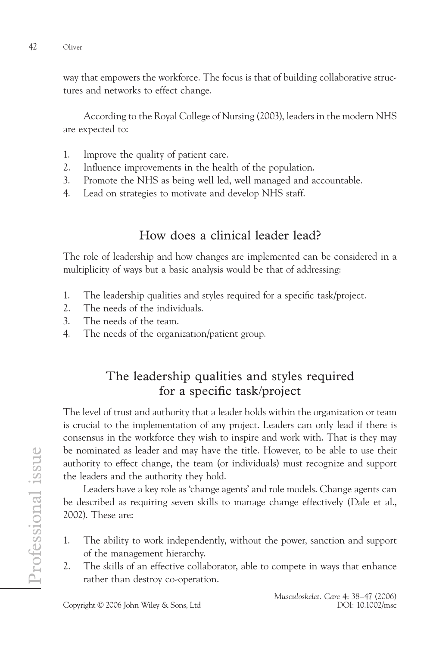way that empowers the workforce. The focus is that of building collaborative structures and networks to effect change.

According to the Royal College of Nursing (2003), leaders in the modern NHS are expected to:

- 1. Improve the quality of patient care.
- 2. Influence improvements in the health of the population.
- 3. Promote the NHS as being well led, well managed and accountable.
- 4. Lead on strategies to motivate and develop NHS staff.

### How does a clinical leader lead?

The role of leadership and how changes are implemented can be considered in a multiplicity of ways but a basic analysis would be that of addressing:

- 1. The leadership qualities and styles required for a specific task/project.
- 2. The needs of the individuals.
- 3. The needs of the team.
- 4. The needs of the organization/patient group.

### The leadership qualities and styles required for a specific task/project

The level of trust and authority that a leader holds within the organization or team is crucial to the implementation of any project. Leaders can only lead if there is consensus in the workforce they wish to inspire and work with. That is they may be nominated as leader and may have the title. However, to be able to use their authority to effect change, the team (or individuals) must recognize and support the leaders and the authority they hold.

Leaders have a key role as 'change agents' and role models. Change agents can be described as requiring seven skills to manage change effectively (Dale et al., 2002). These are:

- 1. The ability to work independently, without the power, sanction and support of the management hierarchy.
- 2. The skills of an effective collaborator, able to compete in ways that enhance rather than destroy co-operation.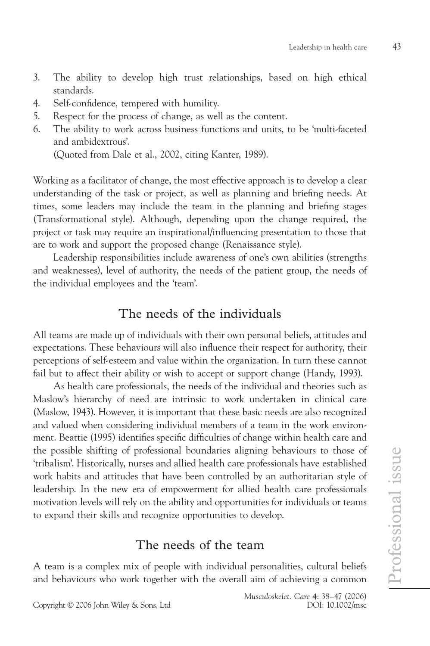- 3. The ability to develop high trust relationships, based on high ethical standards.
- 4. Self-confidence, tempered with humility.
- 5. Respect for the process of change, as well as the content.
- 6. The ability to work across business functions and units, to be 'multi-faceted and ambidextrous'.

(Quoted from Dale et al., 2002, citing Kanter, 1989).

Working as a facilitator of change, the most effective approach is to develop a clear understanding of the task or project, as well as planning and briefing needs. At times, some leaders may include the team in the planning and briefing stages (Transformational style). Although, depending upon the change required, the project or task may require an inspirational/influencing presentation to those that are to work and support the proposed change (Renaissance style).

Leadership responsibilities include awareness of one's own abilities (strengths and weaknesses), level of authority, the needs of the patient group, the needs of the individual employees and the 'team'.

### The needs of the individuals

All teams are made up of individuals with their own personal beliefs, attitudes and expectations. These behaviours will also influence their respect for authority, their perceptions of self-esteem and value within the organization. In turn these cannot fail but to affect their ability or wish to accept or support change (Handy, 1993).

As health care professionals, the needs of the individual and theories such as Maslow's hierarchy of need are intrinsic to work undertaken in clinical care (Maslow, 1943). However, it is important that these basic needs are also recognized and valued when considering individual members of a team in the work environment. Beattie (1995) identifies specific difficulties of change within health care and the possible shifting of professional boundaries aligning behaviours to those of 'tribalism'. Historically, nurses and allied health care professionals have established work habits and attitudes that have been controlled by an authoritarian style of leadership. In the new era of empowerment for allied health care professionals motivation levels will rely on the ability and opportunities for individuals or teams to expand their skills and recognize opportunities to develop.

### The needs of the team

A team is a complex mix of people with individual personalities, cultural beliefs and behaviours who work together with the overall aim of achieving a common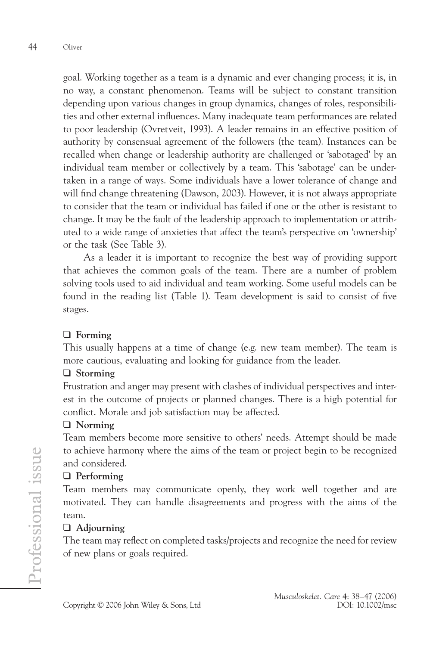goal. Working together as a team is a dynamic and ever changing process; it is, in no way, a constant phenomenon. Teams will be subject to constant transition depending upon various changes in group dynamics, changes of roles, responsibilities and other external influences. Many inadequate team performances are related to poor leadership (Ovretveit, 1993). A leader remains in an effective position of authority by consensual agreement of the followers (the team). Instances can be recalled when change or leadership authority are challenged or 'sabotaged' by an individual team member or collectively by a team. This 'sabotage' can be undertaken in a range of ways. Some individuals have a lower tolerance of change and will find change threatening (Dawson, 2003). However, it is not always appropriate to consider that the team or individual has failed if one or the other is resistant to change. It may be the fault of the leadership approach to implementation or attributed to a wide range of anxieties that affect the team's perspective on 'ownership' or the task (See Table 3).

As a leader it is important to recognize the best way of providing support that achieves the common goals of the team. There are a number of problem solving tools used to aid individual and team working. Some useful models can be found in the reading list (Table 1). Team development is said to consist of five stages.

#### ❑ **Forming**

This usually happens at a time of change (e.g. new team member). The team is more cautious, evaluating and looking for guidance from the leader.

#### ❑ **Storming**

Frustration and anger may present with clashes of individual perspectives and interest in the outcome of projects or planned changes. There is a high potential for conflict. Morale and job satisfaction may be affected.

#### ❑ **Norming**

Team members become more sensitive to others' needs. Attempt should be made to achieve harmony where the aims of the team or project begin to be recognized and considered.

#### ❑ **Performing**

Team members may communicate openly, they work well together and are motivated. They can handle disagreements and progress with the aims of the team.

#### ❑ **Adjourning**

The team may reflect on completed tasks/projects and recognize the need for review of new plans or goals required.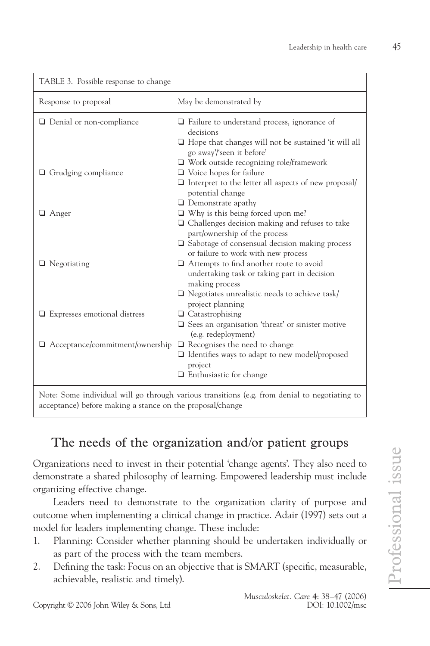| TABLE 3. Possible response to change                                                          |                                                                                                                                                                                                                                    |  |  |
|-----------------------------------------------------------------------------------------------|------------------------------------------------------------------------------------------------------------------------------------------------------------------------------------------------------------------------------------|--|--|
| Response to proposal                                                                          | May be demonstrated by                                                                                                                                                                                                             |  |  |
| $\Box$ Denial or non-compliance                                                               | $\Box$ Failure to understand process, ignorance of<br>decisions<br>$\Box$ Hope that changes will not be sustained 'it will all<br>go away'/'seen it before'                                                                        |  |  |
| $\Box$ Grudging compliance                                                                    | $\square$ Work outside recognizing role/framework<br>$\Box$ Voice hopes for failure<br>$\Box$ Interpret to the letter all aspects of new proposal/<br>potential change<br>$\Box$ Demonstrate apathy                                |  |  |
| $\Box$ Anger                                                                                  | $\Box$ Why is this being forced upon me?<br>$\Box$ Challenges decision making and refuses to take<br>part/ownership of the process<br>$\square$ Sabotage of consensual decision making process                                     |  |  |
| $\Box$ Negotiating                                                                            | or failure to work with new process<br>$\Box$ Attempts to find another route to avoid<br>undertaking task or taking part in decision<br>making process<br>$\Box$ Negotiates unrealistic needs to achieve task/<br>project planning |  |  |
| $\Box$ Expresses emotional distress                                                           | $\Box$ Catastrophising<br>$\square$ Sees an organisation 'threat' or sinister motive<br>(e.g. redeployment)                                                                                                                        |  |  |
| $\Box$ Acceptance/commitment/ownership                                                        | $\Box$ Recognises the need to change<br>$\Box$ Identifies ways to adapt to new model/proposed<br>project<br>$\Box$ Enthusiastic for change                                                                                         |  |  |
| Note: Some individual will go through various transitions (e.g. from denial to negotiating to |                                                                                                                                                                                                                                    |  |  |

Note: Some individual will go through various transitions (e.g. from denial to negotiating to acceptance) before making a stance on the proposal/change

### The needs of the organization and/or patient groups

Organizations need to invest in their potential 'change agents'. They also need to demonstrate a shared philosophy of learning. Empowered leadership must include organizing effective change.

Leaders need to demonstrate to the organization clarity of purpose and outcome when implementing a clinical change in practice. Adair (1997) sets out a model for leaders implementing change. These include:

- 1. Planning: Consider whether planning should be undertaken individually or as part of the process with the team members.
- 2. Defining the task: Focus on an objective that is SMART (specific, measurable, achievable, realistic and timely).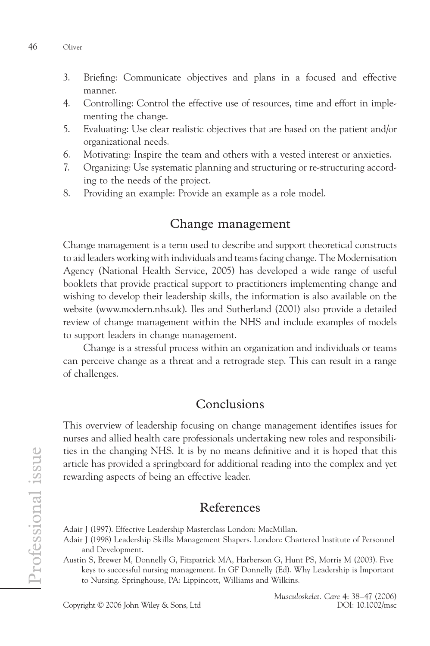- 3. Briefing: Communicate objectives and plans in a focused and effective manner.
- 4. Controlling: Control the effective use of resources, time and effort in implementing the change.
- 5. Evaluating: Use clear realistic objectives that are based on the patient and/or organizational needs.
- 6. Motivating: Inspire the team and others with a vested interest or anxieties.
- 7. Organizing: Use systematic planning and structuring or re-structuring according to the needs of the project.
- 8. Providing an example: Provide an example as a role model.

### Change management

Change management is a term used to describe and support theoretical constructs to aid leaders working with individuals and teams facing change. The Modernisation Agency (National Health Service, 2005) has developed a wide range of useful booklets that provide practical support to practitioners implementing change and wishing to develop their leadership skills, the information is also available on the website (www.modern.nhs.uk). Iles and Sutherland (2001) also provide a detailed review of change management within the NHS and include examples of models to support leaders in change management.

Change is a stressful process within an organization and individuals or teams can perceive change as a threat and a retrograde step. This can result in a range of challenges.

### **Conclusions**

This overview of leadership focusing on change management identifies issues for nurses and allied health care professionals undertaking new roles and responsibilities in the changing NHS. It is by no means definitive and it is hoped that this article has provided a springboard for additional reading into the complex and yet rewarding aspects of being an effective leader.

### References

Adair J (1997). Effective Leadership Masterclass London: MacMillan.

Adair J (1998) Leadership Skills: Management Shapers. London: Chartered Institute of Personnel and Development.

Austin S, Brewer M, Donnelly G, Fitzpatrick MA, Harberson G, Hunt PS, Morris M (2003). Five keys to successful nursing management. In GF Donnelly (Ed). Why Leadership is Important to Nursing. Springhouse, PA: Lippincott, Williams and Wilkins.

*Musculoskelet. Care* **4**: 38–47 (2006)